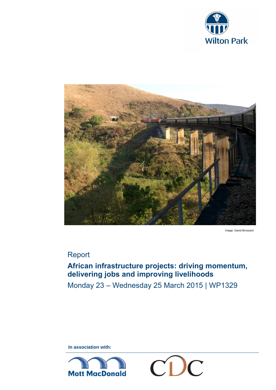



Image: David Brossard

# Report

## **African infrastructure projects: driving momentum, delivering jobs and improving livelihoods**

Monday 23 – Wednesday 25 March 2015 | WP1329

**In association with:** 



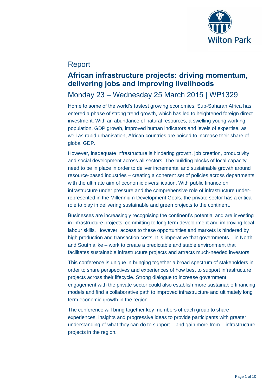

# Report

## **African infrastructure projects: driving momentum, delivering jobs and improving livelihoods**

# Monday 23 – Wednesday 25 March 2015 | WP1329

Home to some of the world's fastest growing economies, Sub-Saharan Africa has entered a phase of strong trend growth, which has led to heightened foreign direct investment. With an abundance of natural resources, a swelling young working population, GDP growth, improved human indicators and levels of expertise, as well as rapid urbanisation, African countries are poised to increase their share of global GDP.

However, inadequate infrastructure is hindering growth, job creation, productivity and social development across all sectors. The building blocks of local capacity need to be in place in order to deliver incremental and sustainable growth around resource-based industries – creating a coherent set of policies across departments with the ultimate aim of economic diversification. With public finance on infrastructure under pressure and the comprehensive role of infrastructure underrepresented in the Millennium Development Goals, the private sector has a critical role to play in delivering sustainable and green projects to the continent.

Businesses are increasingly recognising the continent's potential and are investing in infrastructure projects, committing to long term development and improving local labour skills. However, access to these opportunities and markets is hindered by high production and transaction costs. It is imperative that governments – in North and South alike – work to create a predictable and stable environment that facilitates sustainable infrastructure projects and attracts much-needed investors.

This conference is unique in bringing together a broad spectrum of stakeholders in order to share perspectives and experiences of how best to support infrastructure projects across their lifecycle. Strong dialogue to increase government engagement with the private sector could also establish more sustainable financing models and find a collaborative path to improved infrastructure and ultimately long term economic growth in the region.

The conference will bring together key members of each group to share experiences, insights and progressive ideas to provide participants with greater understanding of what they can do to support – and gain more from – infrastructure projects in the region.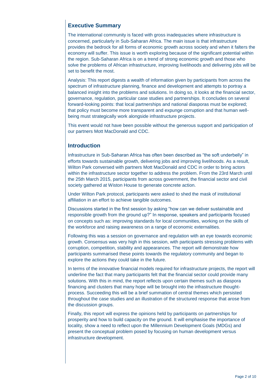## **Executive Summary**

The international community is faced with gross inadequacies where infrastructure is concerned, particularly in Sub-Saharan Africa. The main issue is that infrastructure provides the bedrock for all forms of economic growth across society and when it falters the economy will suffer. This issue is worth exploring because of the significant potential within the region. Sub-Saharan Africa is on a trend of strong economic growth and those who solve the problems of African infrastructure, improving livelihoods and delivering jobs will be set to benefit the most.

Analysis: This report digests a wealth of information given by participants from across the spectrum of infrastructure planning, finance and development and attempts to portray a balanced insight into the problems and solutions. In doing so, it looks at the financial sector, governance, regulation, particular case studies and partnerships. It concludes on several forward-looking points: that local partnerships and national diasporas must be explored; that policy must become more transparent and expunge corruption and that human wellbeing must strategically work alongside infrastructure projects.

This event would not have been possible without the generous support and participation of our partners Mott MacDonald and CDC.

## **Introduction**

Infrastructure in Sub-Saharan Africa has often been described as "the soft underbelly" in efforts towards sustainable growth, delivering jobs and improving livelihoods. As a result, Wilton Park conversed with partners Mott MacDonald and CDC in order to bring actors within the infrastructure sector together to address the problem. From the 23rd March until the 25th March 2015, participants from across government, the financial sector and civil society gathered at Wiston House to generate concrete action.

Under Wilton Park protocol, participants were asked to shed the mask of institutional affiliation in an effort to achieve tangible outcomes.

Discussions started in the first session by asking "how can we deliver sustainable and responsible growth from the ground up?" In response, speakers and participants focused on concepts such as: improving standards for local communities, working on the skills of the workforce and raising awareness on a range of economic externalities.

Following this was a session on governance and regulation with an eye towards economic growth. Consensus was very high in this session, with participants stressing problems with corruption, competition, stability and appearances. The report will demonstrate how participants summarised these points towards the regulatory community and began to explore the actions they could take in the future.

In terms of the innovative financial models required for infrastructure projects, the report will underline the fact that many participants felt that the financial sector could provide many solutions. With this in mind, the report reflects upon certain themes such as diaspora financing and clusters that many hope will be brought into the infrastructure thoughtprocess. Succeeding this will be a brief summation of central themes which persisted throughout the case studies and an illustration of the structured response that arose from the discussion groups.

Finally, this report will express the opinions held by participants on partnerships for prosperity and how to build capacity on the ground. It will emphasise the importance of locality, show a need to reflect upon the Millennium Development Goals (MDGs) and present the conceptual problem posed by focusing on human development versus infrastructure development.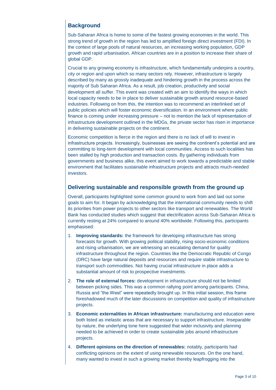## **Background**

Sub-Saharan Africa is home to some of the fastest growing economies in the world. This strong trend of growth in the region has led to amplified foreign direct investment (FDI). In the context of large pools of natural resources, an increasing working population, GDP growth and rapid urbanisation, African countries are in a position to increase their share of global GDP.

Crucial to any growing economy is infrastructure, which fundamentally underpins a country, city or region and upon which so many sectors rely. However, infrastructure is largely described by many as grossly inadequate and hindering growth in the process across the majority of Sub Saharan Africa. As a result, job creation, productivity and social development all suffer. This event was created with an aim to identify the ways in which local capacity needs to be in place to deliver sustainable growth around resource-based industries. Following on from this, the intention was to recommend an interlinked set of public policies which will foster economic diversification. In an environment where public finance is coming under increasing pressure – not to mention the lack of representation of infrastructure development outlined in the MDGs, the private sector has risen in importance in delivering sustainable projects on the continent.

Economic competition is fierce in the region and there is no lack of will to invest in infrastructure projects. Increasingly, businesses are seeing the continent's potential and are committing to long-term development with local communities. Access to such localities has been stalled by high production and transaction costs. By gathering individuals from governments and business alike, this event aimed to work towards a predictable and stable environment that facilitates sustainable infrastructure projects and attracts much-needed investors.

#### **Delivering sustainable and responsible growth from the ground up**

Overall, participants highlighted some common ground to work from and laid out some goals to aim for. It began by acknowledging that the international community needs to shift its priorities from power projects to other sectors like transport and renewables. The World Bank has conducted studies which suggest that electrification across Sub-Saharan Africa is currently resting at 24% compared to around 40% worldwide. Following this, participants emphasised:

- 1. **Improving standards:** the framework for developing infrastructure has strong forecasts for growth. With growing political stability, rising socio-economic conditions and rising urbanisation, we are witnessing an escalating demand for quality infrastructure throughout the region. Countries like the Democratic Republic of Congo (DRC) have large natural deposits and resources and require stable infrastructure to transport such commodities. Not having crucial infrastructure in place adds a substantial amount of risk to prospective investments.
- 2. **The role of external forces:** development in infrastructure should not be limited between picking sides. This was a common rallying point among participants. China, Russia and "the West" were repeatedly brought up. In this initial session, this frame foreshadowed much of the later discussions on competition and quality of infrastructure projects.
- 3. **Economic externalities in African infrastructure:** manufacturing and education were both listed as inelastic areas that are necessary to support infrastructure. Inseparable by nature, the underlying tone here suggested that wider inclusivity and planning needed to be achieved in order to create sustainable jobs around infrastructure projects.
- 4. **Different opinions on the direction of renewables:** notably, participants had conflicting opinions on the extent of using renewable resources. On the one hand, many wanted to invest in such a growing market thereby leapfrogging into the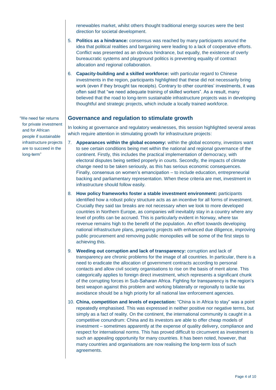renewables market, whilst others thought traditional energy sources were the best direction for societal development.

- 5. **Politics as a hindrance:** consensus was reached by many participants around the idea that political realities and bargaining were leading to a lack of cooperative efforts. Conflict was presented as an obvious hindrance, but equally, the existence of overly bureaucratic systems and playground politics is preventing equality of contract allocation and regional collaboration.
- 6. **Capacity-building and a skilled workforce:** with particular regard to Chinese investments in the region, participants highlighted that these did not necessarily bring work (even if they brought tax receipts). Contrary to other countries' investments, it was often said that "we need adequate training of skilled workers". As a result, many believed that the road to long-term sustainable infrastructure projects was in developing thoughtful and strategic projects, which include a locally trained workforce.

#### **Governance and regulation to stimulate growth**

In looking at governance and regulatory weaknesses, this session highlighted several areas which require attention in stimulating growth for infrastructure projects:

- 7. **Appearances within the global economy:** within the global economy, investors want to see certain conditions being met within the national and regional governance of the continent. Firstly, this includes the practical implementation of democracy, with electoral disputes being settled properly in courts. Secondly, the impacts of climate change need to be taken seriously, as this has serious economic consequences. Finally, consensus on women's emancipation – to include education, entrepreneurial backing and parliamentary representation. When these criteria are met, investment in infrastructure should follow easily.
- 8. **How policy frameworks foster a stable investment environment:** participants identified how a robust policy structure acts as an incentive for all forms of investment. Crucially they said tax breaks are not necessary when we look to more developed countries in Northern Europe, as companies will inevitably stay in a country where any level of profits can be accrued. This is particularly evident in Norway, where tax revenue remains high to the benefit of the population. An effort towards developing national infrastructure plans, preparing projects with enhanced due diligence, improving public procurement and removing public monopolies will be some of the first steps to achieving this.
- 9. **Weeding out corruption and lack of transparency:** corruption and lack of transparency are chronic problems for the image of all countries. In particular, there is a need to eradicate the allocation of government contracts according to personal contacts and allow civil society organisations to rise on the basis of merit alone. This categorically applies to foreign direct investment, which represents a significant chunk of the corrupting forces in Sub-Saharan Africa. Fighting for transparency is the region's best weapon against this problem and working bilaterally or regionally to tackle tax avoidance should be a high priority for all national law enforcement agencies.
- 10. **China, competition and levels of expectation:** "China is in Africa to stay" was a point repeatedly emphasised. This was expressed in neither positive nor negative terms, but simply as a fact of reality. On the continent, the international community is caught in a competitive conundrum: China and its investors are able to offer cheap models of investment – sometimes apparently at the expense of quality delivery, compliance and respect for international norms. This has proved difficult to circumvent as investment is such an appealing opportunity for many countries. It has been noted, however, that many countries and organisations are now realising the long-term loss of such agreements.

"We need fair returns for private investment and for African people if sustainable infrastructure projects are to succeed in the long-term"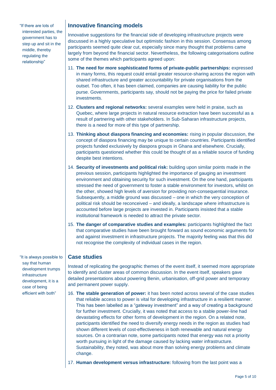"If there are lots of interested parties, the government has to step up and sit in the middle, thereby regulating the relationship"

### **Innovative financing models**

Innovative suggestions for the financial side of developing infrastructure projects were discussed in a highly speculative but optimistic fashion in this session. Consensus among participants seemed quite clear cut, especially since many thought that problems came largely from beyond the financial sector. Nevertheless, the following categorisations outline some of the themes which participants agreed upon:

- 11. **The need for more sophisticated forms of private-public partnerships:** expressed in many forms, this request could entail greater resource-sharing across the region with shared infrastructure and greater accountability for private organisations from the outset. Too often, it has been claimed, companies are causing liability for the public purse. Governments, participants say, should not be paying the price for failed private investments.
- 12. **Clusters and regional networks:** several examples were held in praise, such as Quebec, where large projects in natural resource extraction have been successful as a result of partnering with other stakeholders. In Sub-Saharan infrastructure projects, there is a need for more of this type of partnership.
- 13. **Thinking about diaspora financing and economies:** rising in popular discussion, the concept of diaspora financing may be unique to certain countries. Participants identified projects funded exclusively by diaspora groups in Ghana and elsewhere. Crucially, participants questioned whether this could be thought of as a reliable source of funding despite best intentions.
- 14. **Security of investments and political risk:** building upon similar points made in the previous session, participants highlighted the importance of gauging an investment environment and obtaining security for such investment. On the one hand, participants stressed the need of government to foster a stable environment for investors, whilst on the other, showed high levels of aversion for providing non-consequential insurance. Subsequently, a middle ground was discussed – one in which the very conception of political risk should be reconceived – and ideally, a landscape where infrastructure is accounted before large projects are invested in. Participants insisted that a stable institutional framework is needed to attract the private sector.
- 15. **The danger of comparative studies and examples:** participants highlighted the fact that comparative studies have been brought forward as sound economic arguments for and against investment in infrastructure projects. The majority feeling was that this did not recognise the complexity of individual cases in the region.

### **Case studies**

Instead of replicating the geographic themes of the event itself, it seemed more appropriate to identify and cluster areas of common discussion. In the event itself, speakers gave detailed presentations about powering Benin, urbanisation, off-grid power and temporary and permanent power supply.

- 16. **The stable generation of power:** it has been noted across several of the case studies that reliable access to power is vital for developing infrastructure in a resilient manner. This has been labelled as a "gateway investment" and a way of creating a background for further investment. Crucially, it was noted that access to a stable power-line had devastating effects for other forms of development in the region. On a related note, participants identified the need to diversify energy needs in the region as studies had shown different levels of cost-effectiveness in both renewable and natural energy sources. On a contrarian note, some participants noted that energy was not a priority worth pursuing in light of the damage caused by lacking water infrastructure. Sustainability, they noted, was about more than solving energy problems and climate change.
- 17. **Human development versus infrastructure:** following from the last point was a

"It is always possible to say that human development trumps infrastructure development, it is a case of being efficient with both"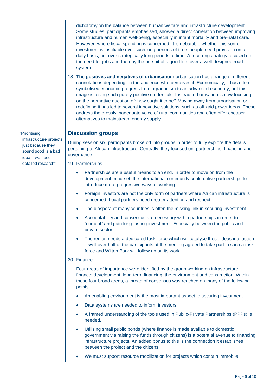dichotomy on the balance between human welfare and infrastructure development. Some studies, participants emphasised, showed a direct correlation between improving infrastructure and human well-being, especially in infant mortality and pre-natal care. However, where fiscal spending is concerned, it is debatable whether this sort of investment is justifiable over such long periods of time: people need provision on a daily basis, not over strategically long periods of time. A recurring analogy focused on the need for jobs and thereby the pursuit of a good life, over a well-designed road system.

18. **The positives and negatives of urbanisation:** urbanisation has a range of different connotations depending on the audience who perceives it. Economically, it has often symbolised economic progress from agrarianism to an advanced economy, but this image is losing such purely positive credentials. Instead, urbanisation is now focusing on the normative question of: how ought it to be? Moving away from urbanisation or redefining it has led to several innovative solutions, such as off-grid power ideas. These address the grossly inadequate voice of rural communities and often offer cheaper alternatives to mainstream energy supply.

#### **Discussion groups**

During session six, participants broke off into groups in order to fully explore the details pertaining to African infrastructure. Centrally, they focused on: partnerships, financing and governance.

19. Partnerships

- Partnerships are a useful means to an end. In order to move on from the development mind-set, the international community could utilise partnerships to introduce more progressive ways of working.
- Foreign investors are not the only form of partners where African infrastructure is concerned. Local partners need greater attention and respect.
- The diaspora of many countries is often the missing link in securing investment.
- Accountability and consensus are necessary within partnerships in order to "cement" and gain long-lasting investment. Especially between the public and private sector.
- The region needs a dedicated task-force which will catalyse these ideas into action – well over half of the participants at the meeting agreed to take part in such a task force and Wilton Park will follow up on its work.

#### 20. Finance

Four areas of importance were identified by the group working on infrastructure finance: development, long-term financing, the environment and construction. Within these four broad areas, a thread of consensus was reached on many of the following points:

- An enabling environment is the most important aspect to securing investment.
- Data systems are needed to inform investors.
- A framed understanding of the tools used in Public-Private Partnerships (PPPs) is needed.
- Utilising small public bonds (where finance is made available to domestic government via raising the funds through citizens) is a potential avenue to financing infrastructure projects. An added bonus to this is the connection it establishes between the project and the citizens.
- We must support resource mobilization for projects which contain immobile

"Prioritising

infrastructure projects just because they sound good is a bad idea – we need detailed research"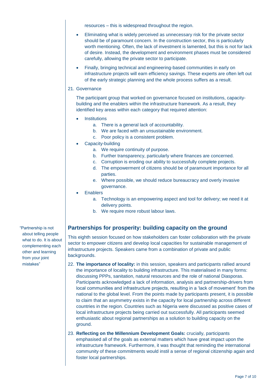resources – this is widespread throughout the region.

- Eliminating what is widely perceived as unnecessary risk for the private sector should be of paramount concern. In the construction sector, this is particularly worth mentioning. Often, the lack of investment is lamented, but this is not for lack of desire. Instead, the development and environment phases must be considered carefully, allowing the private sector to participate.
- Finally, bringing technical and engineering-based communities in early on infrastructure projects will earn efficiency savings. These experts are often left out of the early strategic planning and the whole process suffers as a result.

#### 21. Governance

The participant group that worked on governance focused on institutions, capacitybuilding and the enablers within the infrastructure framework. As a result, they identified key areas within each category that required attention:

- **Institutions** 
	- a. There is a general lack of accountability.
	- b. We are faced with an unsustainable environment.
	- c. Poor policy is a consistent problem.
- Capacity-building
	- a. We require continuity of purpose.
	- b. Further transparency, particularly where finances are concerned.
	- c. Corruption is eroding our ability to successfully complete projects.
	- d. The empowerment of citizens should be of paramount importance for all parties.
	- e. Where possible, we should reduce bureaucracy and overly invasive governance.
- **Enablers** 
	- a. Technology is an empowering aspect and tool for delivery; we need it at delivery points.
	- b. We require more robust labour laws.

## **Partnerships for prosperity: building capacity on the ground**

This eighth session focused on how stakeholders can foster collaboration with the private sector to empower citizens and develop local capacities for sustainable management of infrastructure projects. Speakers came from a combination of private and public backgrounds.

- 22. **The importance of locality:** in this session, speakers and participants rallied around the importance of locality to building infrastructure. This materialised in many forms: discussing PPPs, sanitation, natural resources and the role of national Diasporas. Participants acknowledged a lack of information, analysis and partnership-drivers from local communities and infrastructure projects, resulting in a 'lack of movement' from the national to the global level. From the points made by participants present, it is possible to claim that an asymmetry exists in the capacity for local partnership across different countries in the region. Countries such as Nigeria were discussed as positive cases of local infrastructure projects being carried out successfully. All participants seemed enthusiastic about regional partnerships as a solution to building capacity on the ground.
- 23. **Reflecting on the Millennium Development Goals:** crucially, participants emphasised all of the goals as external matters which have great impact upon the infrastructure framework. Furthermore, it was thought that reminding the international community of these commitments would instil a sense of regional citizenship again and foster local partnerships.

"Partnership is not about telling people what to do. It is about complementing each other and learning from your joint mistakes"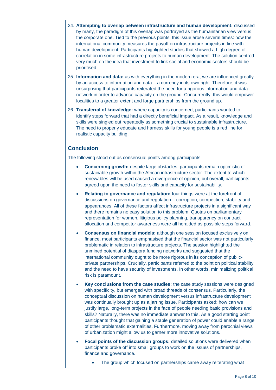- 24. **Attempting to overlap between infrastructure and human development:** discussed by many, the paradigm of this overlap was portrayed as the humanitarian view versus the corporate one. Tied to the previous points, this issue arose several times: how the international community measures the payoff on infrastructure projects in line with human development. Participants highlighted studies that showed a high degree of correlation in some infrastructure projects to human development. The solution centred very much on the idea that investment to link social and economic sectors should be prioritised.
- 25. **Information and data:** as with everything in the modern era, we are influenced greatly by an access to information and data – a currency in its own right. Therefore, it was unsurprising that participants reiterated the need for a rigorous information and data network in order to advance capacity on the ground. Concurrently, this would empower localities to a greater extent and forge partnerships from the ground up.
- 26. **Transferral of knowledge:** where capacity is concerned, participants wanted to identify steps forward that had a directly beneficial impact. As a result, knowledge and skills were singled out repeatedly as something crucial to sustainable infrastructure. The need to properly educate and harness skills for young people is a red line for realistic capacity building.

### **Conclusion**

The following stood out as consensual points among participants:

- **Concerning growth:** despite large obstacles, participants remain optimistic of sustainable growth within the African infrastructure sector. The extent to which renewables will be used caused a divergence of opinion, but overall, participants agreed upon the need to foster skills and capacity for sustainability.
- **Relating to governance and regulation:** four things were at the forefront of discussions on governance and regulation – corruption, competition, stability and appearances. All of these factors affect infrastructure projects in a significant way and there remains no easy solution to this problem. Quotas on parliamentary representation for women, litigious policy planning, transparency on contract allocation and competitor awareness were all heralded as possible steps forward.
- **Consensus on financial models:** although one session focused exclusively on finance, most participants emphasised that the financial sector was not particularly problematic in relation to infrastructure projects. The session highlighted the unmined potential of diaspora funding networks and suggested that the international community ought to be more rigorous in its conception of publicprivate partnerships. Crucially, participants referred to the point on political stability and the need to have security of investments. In other words, minimalizing political risk is paramount.
- **Key conclusions from the case studies:** the case study sessions were designed with specificity, but emerged with broad threads of consensus. Particularly, the conceptual discussion on human development versus infrastructure development was continually brought up as a jarring issue. Participants asked: how can we justify large, long-term projects in the face of people needing basic provisions and skills? Naturally, there was no immediate answer to this. As a good starting point participants thought that gaining a stable generation of power could enable a range of other problematic externalities. Furthermore, moving away from parochial views of urbanization might allow us to garner more innovative solutions.
- **Focal points of the discussion groups:** detailed solutions were delivered when participants broke off into small groups to work on the issues of partnerships, finance and governance.
	- The group which focused on partnerships came away reiterating what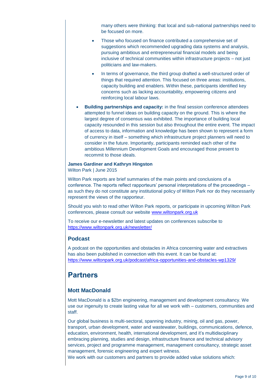many others were thinking: that local and sub-national partnerships need to be focused on more.

- Those who focused on finance contributed a comprehensive set of suggestions which recommended upgrading data systems and analysis, pursuing ambitious and entrepreneurial financial models and being inclusive of technical communities within infrastructure projects – not just politicians and law-makers.
- In terms of governance, the third group drafted a well-structured order of things that required attention. This focused on three areas: institutions, capacity building and enablers. Within these, participants identified key concerns such as lacking accountability, empowering citizens and reinforcing local labour laws.
- **Building partnerships and capacity:** in the final session conference attendees attempted to funnel ideas on building capacity on the ground. This is where the largest degree of consensus was exhibited. The importance of building local capacity resounded in this session but also throughout the entire event. The impact of access to data, information and knowledge has been shown to represent a form of currency in itself – something which infrastructure project planners will need to consider in the future. Importantly, participants reminded each other of the ambitious Millennium Development Goals and encouraged those present to recommit to those ideals.

#### **James Gardiner and Kathryn Hingston**

Wilton Park | June 2015

Wilton Park reports are brief summaries of the main points and conclusions of a conference. The reports reflect rapporteurs' personal interpretations of the proceedings – as such they do not constitute any institutional policy of Wilton Park nor do they necessarily represent the views of the rapporteur.

Should you wish to read other Wilton Park reports, or participate in upcoming Wilton Park conferences, please consult our website [www.wiltonpark.org.uk](http://www.wiltonpark.org.uk/)

To receive our e-newsletter and latest updates on conferences subscribe to <https://www.wiltonpark.org.uk/newsletter/>

#### **Podcast**

A podcast on the opportunities and obstacles in Africa concerning water and extractives has also been published in connection with this event. It can be found at: <https://www.wiltonpark.org.uk/podcast/africa-opportunities-and-obstacles-wp1329/>

## **Partners**

#### **Mott MacDonald**

Mott MacDonald is a \$2bn engineering, management and development consultancy. We use our ingenuity to create lasting value for all we work with – customers, communities and staff.

Our global business is multi-sectoral, spanning industry, mining, oil and gas, power, transport, urban development, water and wastewater, buildings, communications, defence, education, environment, health, international development, and it's multidisciplinary embracing planning, studies and design, infrastructure finance and technical advisory services, project and programme management, management consultancy, strategic asset management, forensic engineering and expert witness.

We work with our customers and partners to provide added value solutions which: